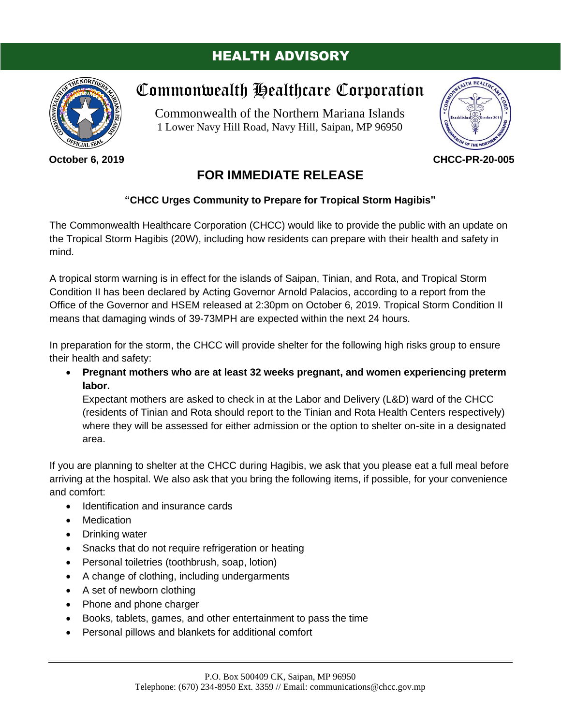## HEALTH ADVISORY



**October 6, 2019**

## Commonwealth Healthcare Corporation

Commonwealth of the Northern Mariana Islands 1 Lower Navy Hill Road, Navy Hill, Saipan, MP 96950



**CHCC-PR-20-005**

## **FOR IMMEDIATE RELEASE**

## **"CHCC Urges Community to Prepare for Tropical Storm Hagibis"**

The Commonwealth Healthcare Corporation (CHCC) would like to provide the public with an update on the Tropical Storm Hagibis (20W), including how residents can prepare with their health and safety in mind.

A tropical storm warning is in effect for the islands of Saipan, Tinian, and Rota, and Tropical Storm Condition II has been declared by Acting Governor Arnold Palacios, according to a report from the Office of the Governor and HSEM released at 2:30pm on October 6, 2019. Tropical Storm Condition II means that damaging winds of 39-73MPH are expected within the next 24 hours.

In preparation for the storm, the CHCC will provide shelter for the following high risks group to ensure their health and safety:

• **Pregnant mothers who are at least 32 weeks pregnant, and women experiencing preterm labor.**

Expectant mothers are asked to check in at the Labor and Delivery (L&D) ward of the CHCC (residents of Tinian and Rota should report to the Tinian and Rota Health Centers respectively) where they will be assessed for either admission or the option to shelter on-site in a designated area.

If you are planning to shelter at the CHCC during Hagibis, we ask that you please eat a full meal before arriving at the hospital. We also ask that you bring the following items, if possible, for your convenience and comfort:

- Identification and insurance cards
- Medication
- Drinking water
- Snacks that do not require refrigeration or heating
- Personal toiletries (toothbrush, soap, lotion)
- A change of clothing, including undergarments
- A set of newborn clothing
- Phone and phone charger
- Books, tablets, games, and other entertainment to pass the time
- Personal pillows and blankets for additional comfort